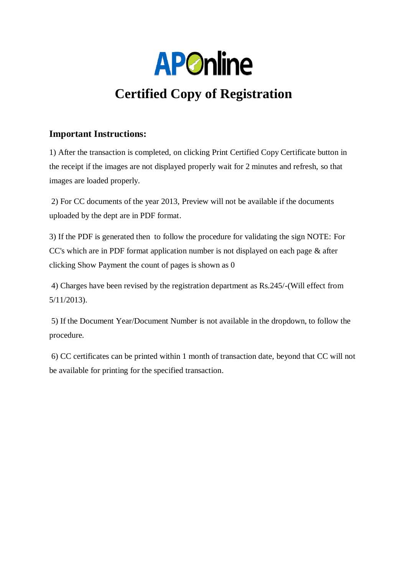

# **Certified Copy of Registration**

#### **Important Instructions:**

1) After the transaction is completed, on clicking Print Certified Copy Certificate button in the receipt if the images are not displayed properly wait for 2 minutes and refresh, so that images are loaded properly.

2) For CC documents of the year 2013, Preview will not be available if the documents uploaded by the dept are in PDF format.

3) If the PDF is generated then to follow the procedure for validating the sign NOTE: For CC's which are in PDF format application number is not displayed on each page & after clicking Show Payment the count of pages is shown as 0

4) Charges have been revised by the registration department as Rs.245/-(Will effect from 5/11/2013).

5) If the Document Year/Document Number is not available in the dropdown, to follow the procedure.

6) CC certificates can be printed within 1 month of transaction date, beyond that CC will not be available for printing for the specified transaction.